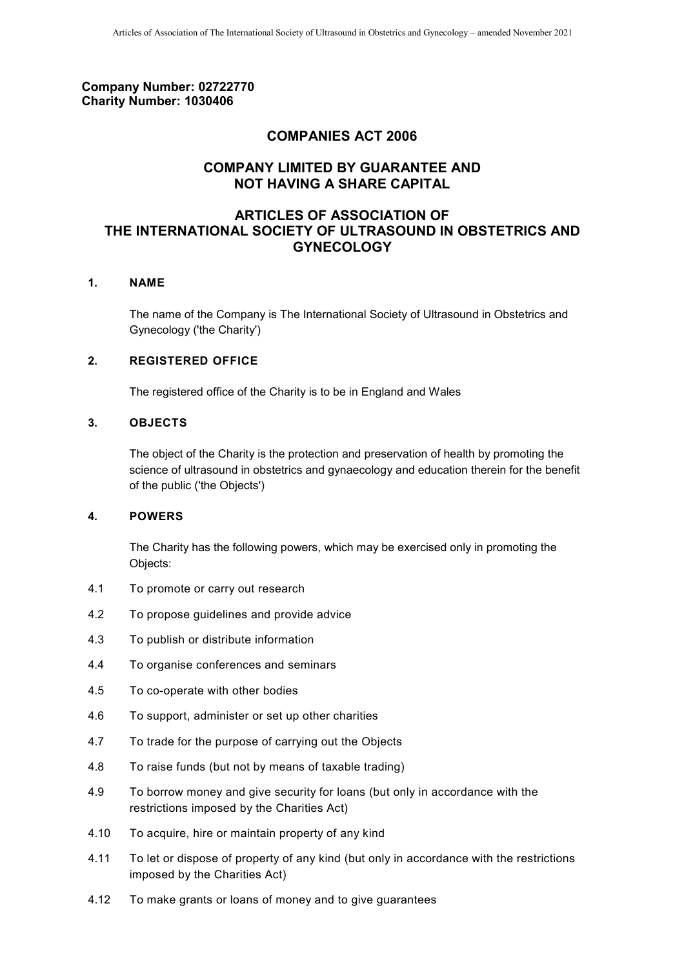## **Company Number: 02722770 Charity Number: 1030406**

# **COMPANIES ACT 2006**

# **COMPANY LIMITED BY GUARANTEE AND NOT HAVING A SHARE CAPITAL**

# **ARTICLES OF ASSOCIATION OF THE INTERNATIONAL SOCIETY OF ULTRASOUND IN OBSTETRICS AND GYNECOLOGY**

## **1. NAME**

The name of the Company is The International Society of Ultrasound in Obstetrics and Gynecology ('the Charity')

## **2. REGISTERED OFFICE**

The registered office of the Charity is to be in England and Wales

## <span id="page-0-0"></span>**3. OBJECTS**

The object of the Charity is the protection and preservation of health by promoting the science of ultrasound in obstetrics and gynaecology and education therein for the benefit of the public ('the Objects')

#### **4. POWERS**

The Charity has the following powers, which may be exercised only in promoting the Objects:

- 4.1 To promote or carry out research
- 4.2 To propose guidelines and provide advice
- 4.3 To publish or distribute information
- 4.4 To organise conferences and seminars
- 4.5 To co-operate with other bodies
- 4.6 To support, administer or set up other charities
- 4.7 To trade for the purpose of carrying out the Objects
- 4.8 To raise funds (but not by means of taxable trading)
- 4.9 To borrow money and give security for loans (but only in accordance with the restrictions imposed by the Charities Act)
- 4.10 To acquire, hire or maintain property of any kind
- 4.11 To let or dispose of property of any kind (but only in accordance with the restrictions imposed by the Charities Act)
- 4.12 To make grants or loans of money and to give guarantees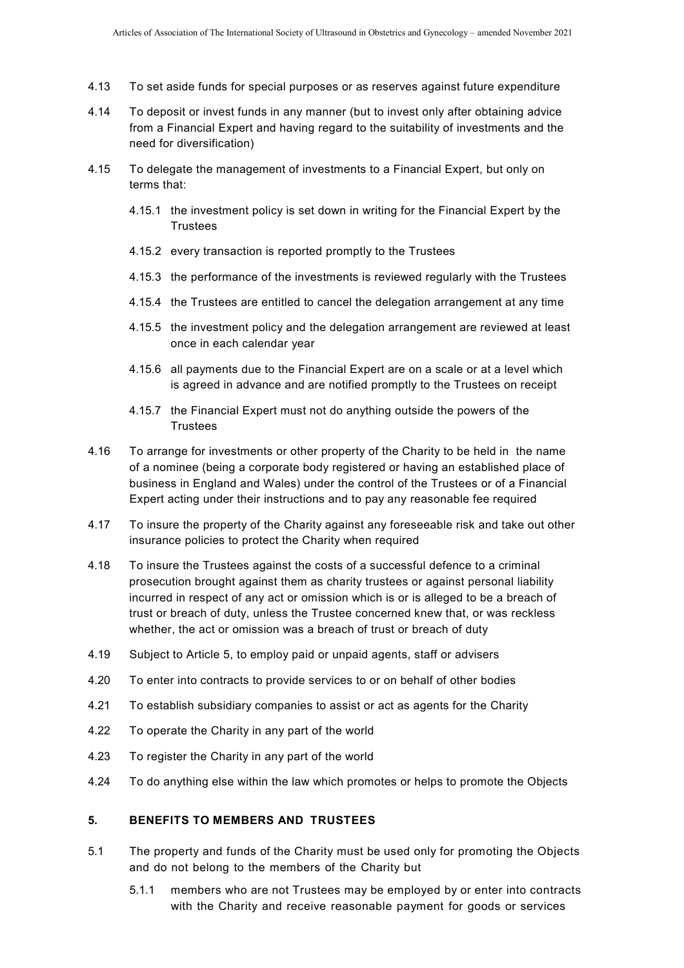- 4.13 To set aside funds for special purposes or as reserves against future expenditure
- 4.14 To deposit or invest funds in any manner (but to invest only after obtaining advice from a Financial Expert and having regard to the suitability of investments and the need for diversification)
- 4.15 To delegate the management of investments to a Financial Expert, but only on terms that:
	- 4.15.1 the investment policy is set down in writing for the Financial Expert by the **Trustees**
	- 4.15.2 every transaction is reported promptly to the Trustees
	- 4.15.3 the performance of the investments is reviewed regularly with the Trustees
	- 4.15.4 the Trustees are entitled to cancel the delegation arrangement at any time
	- 4.15.5 the investment policy and the delegation arrangement are reviewed at least once in each calendar year
	- 4.15.6 all payments due to the Financial Expert are on a scale or at a level which is agreed in advance and are notified promptly to the Trustees on receipt
	- 4.15.7 the Financial Expert must not do anything outside the powers of the **Trustees**
- 4.16 To arrange for investments or other property of the Charity to be held in the name of a nominee (being a corporate body registered or having an established place of business in England and Wales) under the control of the Trustees or of a Financial Expert acting under their instructions and to pay any reasonable fee required
- 4.17 To insure the property of the Charity against any foreseeable risk and take out other insurance policies to protect the Charity when required
- 4.18 To insure the Trustees against the costs of a successful defence to a criminal prosecution brought against them as charity trustees or against personal liability incurred in respect of any act or omission which is or is alleged to be a breach of trust or breach of duty, unless the Trustee concerned knew that, or was reckless whether, the act or omission was a breach of trust or breach of duty
- 4.19 Subject to Article 5, to employ paid or unpaid agents, staff or advisers
- 4.20 To enter into contracts to provide services to or on behalf of other bodies
- 4.21 To establish subsidiary companies to assist or act as agents for the Charity
- 4.22 To operate the Charity in any part of the world
- 4.23 To register the Charity in any part of the world
- 4.24 To do anything else within the law which promotes or helps to promote the Objects

#### **5. BENEFITS TO MEMBERS AND TRUSTEES**

- 5.1 The property and funds of the Charity must be used only for promoting the Objects and do not belong to the members of the Charity but
	- 5.1.1 members who are not Trustees may be employed by or enter into contracts with the Charity and receive reasonable payment for goods or services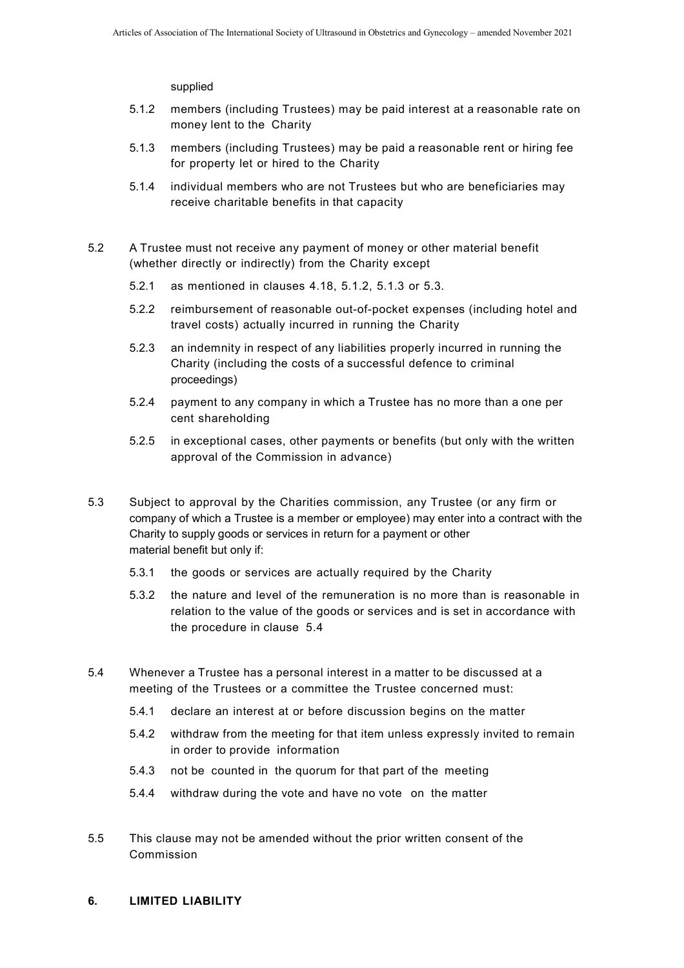supplied

- 5.1.2 members (including Trustees) may be paid interest at a reasonable rate on money lent to the Charity
- 5.1.3 members (including Trustees) may be paid a reasonable rent or hiring fee for property let or hired to the Charity
- 5.1.4 individual members who are not Trustees but who are beneficiaries may receive charitable benefits in that capacity
- 5.2 A Trustee must not receive any payment of money or other material benefit (whether directly or indirectly) from the Charity except
	- 5.2.1 as mentioned in clauses 4.18, 5.1.2, 5.1.3 or 5.3.
	- 5.2.2 reimbursement of reasonable out-of-pocket expenses (including hotel and travel costs) actually incurred in running the Charity
	- 5.2.3 an indemnity in respect of any liabilities properly incurred in running the Charity (including the costs of a successful defence to criminal proceedings)
	- 5.2.4 payment to any company in which a Trustee has no more than a one per cent shareholding
	- 5.2.5 in exceptional cases, other payments or benefits (but only with the written approval of the Commission in advance)
- 5.3 Subject to approval by the Charities commission, any Trustee (or any firm or company of which a Trustee is a member or employee) may enter into a contract with the Charity to supply goods or services in return for a payment or other material benefit but only if:
	- 5.3.1 the goods or services are actually required by the Charity
	- 5.3.2 the nature and level of the remuneration is no more than is reasonable in relation to the value of the goods or services and is set in accordance with the procedure in clause 5.4
- 5.4 Whenever a Trustee has a personal interest in a matter to be discussed at a meeting of the Trustees or a committee the Trustee concerned must:
	- 5.4.1 declare an interest at or before discussion begins on the matter
	- 5.4.2 withdraw from the meeting for that item unless expressly invited to remain in order to provide information
	- 5.4.3 not be counted in the quorum for that part of the meeting
	- 5.4.4 withdraw during the vote and have no vote on the matter
- 5.5 This clause may not be amended without the prior written consent of the Commission
- **6. LIMITED LIABILITY**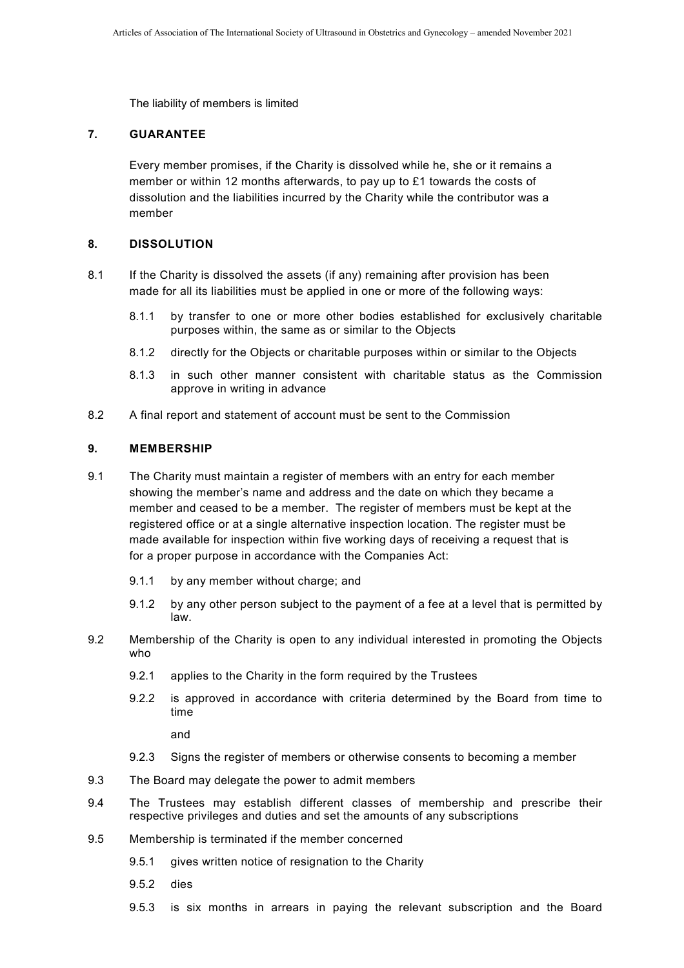The liability of members is limited

## **7. GUARANTEE**

Every member promises, if the Charity is dissolved while he, she or it remains a member or within 12 months afterwards, to pay up to £1 towards the costs of dissolution and the liabilities incurred by the Charity while the contributor was a member

## **8. DISSOLUTION**

- 8.1 If the Charity is dissolved the assets (if any) remaining after provision has been made for all its liabilities must be applied in one or more of the following ways:
	- 8.1.1 by transfer to one or more other bodies established for exclusively charitable purposes within, the same as or similar to the Objects
	- 8.1.2 directly for the Objects or charitable purposes within or similar to the Objects
	- 8.1.3 in such other manner consistent with charitable status as the Commission approve in writing in advance
- 8.2 A final report and statement of account must be sent to the Commission

## **9. MEMBERSHIP**

- 9.1 The Charity must maintain a register of members with an entry for each member showing the member's name and address and the date on which they became a member and ceased to be a member. The register of members must be kept at the registered office or at a single alternative inspection location. The register must be made available for inspection within five working days of receiving a request that is for a proper purpose in accordance with the Companies Act:
	- 9.1.1 by any member without charge; and
	- 9.1.2 by any other person subject to the payment of a fee at a level that is permitted by law.
- 9.2 Membership of the Charity is open to any individual interested in promoting the Objects who
	- 9.2.1 applies to the Charity in the form required by the Trustees
	- 9.2.2 is approved in accordance with criteria determined by the Board from time to time

and

- 9.2.3 Signs the register of members or otherwise consents to becoming a member
- 9.3 The Board may delegate the power to admit members
- 9.4 The Trustees may establish different classes of membership and prescribe their respective privileges and duties and set the amounts of any subscriptions
- 9.5 Membership is terminated if the member concerned
	- 9.5.1 gives written notice of resignation to the Charity
	- 9.5.2 dies
	- 9.5.3 is six months in arrears in paying the relevant subscription and the Board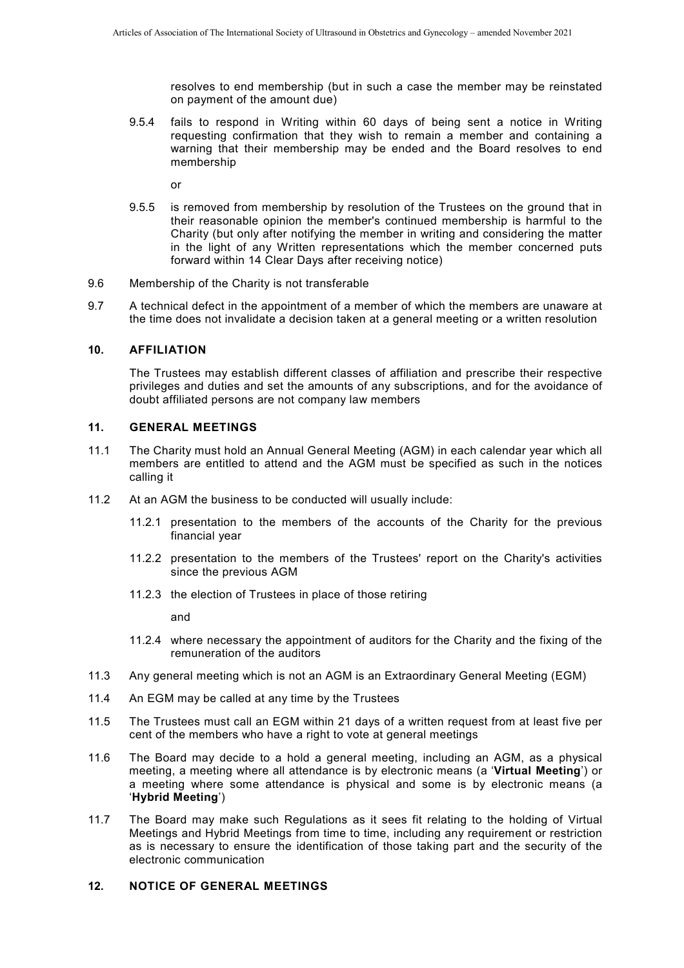resolves to end membership (but in such a case the member may be reinstated on payment of the amount due)

9.5.4 fails to respond in Writing within 60 days of being sent a notice in Writing requesting confirmation that they wish to remain a member and containing a warning that their membership may be ended and the Board resolves to end membership

or

- 9.5.5 is removed from membership by resolution of the Trustees on the ground that in their reasonable opinion the member's continued membership is harmful to the Charity (but only after notifying the member in writing and considering the matter in the light of any Written representations which the member concerned puts forward within 14 Clear Days after receiving notice)
- 9.6 Membership of the Charity is not transferable
- 9.7 A technical defect in the appointment of a member of which the members are unaware at the time does not invalidate a decision taken at a general meeting or a written resolution

#### **10. AFFILIATION**

The Trustees may establish different classes of affiliation and prescribe their respective privileges and duties and set the amounts of any subscriptions, and for the avoidance of doubt affiliated persons are not company law members

### **11. GENERAL MEETINGS**

- 11.1 The Charity must hold an Annual General Meeting (AGM) in each calendar year which all members are entitled to attend and the AGM must be specified as such in the notices calling it
- 11.2 At an AGM the business to be conducted will usually include:
	- 11.2.1 presentation to the members of the accounts of the Charity for the previous financial year
	- 11.2.2 presentation to the members of the Trustees' report on the Charity's activities since the previous AGM
	- 11.2.3 the election of Trustees in place of those retiring

and

- 11.2.4 where necessary the appointment of auditors for the Charity and the fixing of the remuneration of the auditors
- 11.3 Any general meeting which is not an AGM is an Extraordinary General Meeting (EGM)
- 11.4 An EGM may be called at any time by the Trustees
- 11.5 The Trustees must call an EGM within 21 days of a written request from at least five per cent of the members who have a right to vote at general meetings
- <span id="page-4-1"></span>11.6 The Board may decide to a hold a general meeting, including an AGM, as a physical meeting, a meeting where all attendance is by electronic means (a '**Virtual Meeting**') or a meeting where some attendance is physical and some is by electronic means (a '**Hybrid Meeting**')
- 11.7 The Board may make such Regulations as it sees fit relating to the holding of Virtual Meetings and Hybrid Meetings from time to time, including any requirement or restriction as is necessary to ensure the identification of those taking part and the security of the electronic communication

## <span id="page-4-0"></span>**12. NOTICE OF GENERAL MEETINGS**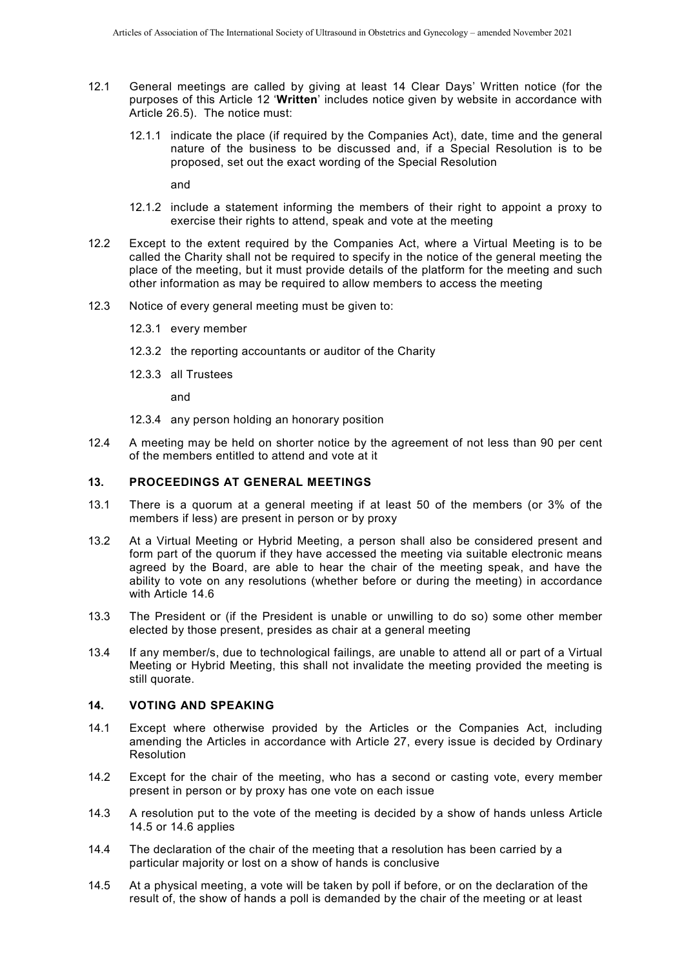- 12.1 General meetings are called by giving at least 14 Clear Days' Written notice (for the purposes of this Article [12](#page-4-0) '**Written**' includes notice given by website in accordance with Article [26.5\)](#page-12-0). The notice must:
	- 12.1.1 indicate the place (if required by the Companies Act), date, time and the general nature of the business to be discussed and, if a Special Resolution is to be proposed, set out the exact wording of the Special Resolution

and

- 12.1.2 include a statement informing the members of their right to appoint a proxy to exercise their rights to attend, speak and vote at the meeting
- 12.2 Except to the extent required by the Companies Act, where a Virtual Meeting is to be called the Charity shall not be required to specify in the notice of the general meeting the place of the meeting, but it must provide details of the platform for the meeting and such other information as may be required to allow members to access the meeting
- 12.3 Notice of every general meeting must be given to:
	- 12.3.1 every member
	- 12.3.2 the reporting accountants or auditor of the Charity
	- 12.3.3 all Trustees

and

- 12.3.4 any person holding an honorary position
- 12.4 A meeting may be held on shorter notice by the agreement of not less than 90 per cent of the members entitled to attend and vote at it

### **13. PROCEEDINGS AT GENERAL MEETINGS**

- 13.1 There is a quorum at a general meeting if at least 50 of the members (or 3% of the members if less) are present in person or by proxy
- 13.2 At a Virtual Meeting or Hybrid Meeting, a person shall also be considered present and form part of the quorum if they have accessed the meeting via suitable electronic means agreed by the Board, are able to hear the chair of the meeting speak, and have the ability to vote on any resolutions (whether before or during the meeting) in accordance with Article [14.6](#page-6-0)
- 13.3 The President or (if the President is unable or unwilling to do so) some other member elected by those present, presides as chair at a general meeting
- 13.4 If any member/s, due to technological failings, are unable to attend all or part of a Virtual Meeting or Hybrid Meeting, this shall not invalidate the meeting provided the meeting is still quorate.

## **14. VOTING AND SPEAKING**

- 14.1 Except where otherwise provided by the Articles or the Companies Act, including amending the Articles in accordance with Article [27,](#page-13-0) every issue is decided by Ordinary **Resolution**
- 14.2 Except for the chair of the meeting, who has a second or casting vote, every member present in person or by proxy has one vote on each issue
- 14.3 A resolution put to the vote of the meeting is decided by a show of hands unless Article [14.5](#page-5-0) or [14.6](#page-6-0) applies
- 14.4 The declaration of the chair of the meeting that a resolution has been carried by a particular majority or lost on a show of hands is conclusive
- <span id="page-5-0"></span>14.5 At a physical meeting, a vote will be taken by poll if before, or on the declaration of the result of, the show of hands a poll is demanded by the chair of the meeting or at least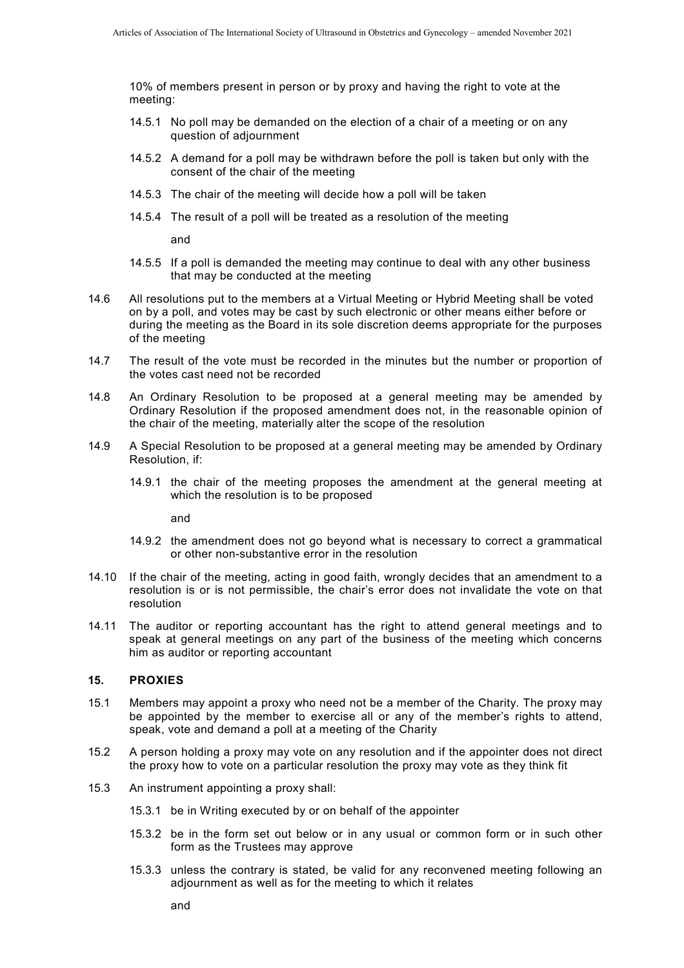10% of members present in person or by proxy and having the right to vote at the meeting:

- 14.5.1 No poll may be demanded on the election of a chair of a meeting or on any question of adjournment
- 14.5.2 A demand for a poll may be withdrawn before the poll is taken but only with the consent of the chair of the meeting
- 14.5.3 The chair of the meeting will decide how a poll will be taken
- 14.5.4 The result of a poll will be treated as a resolution of the meeting

and

- 14.5.5 If a poll is demanded the meeting may continue to deal with any other business that may be conducted at the meeting
- <span id="page-6-0"></span>14.6 All resolutions put to the members at a Virtual Meeting or Hybrid Meeting shall be voted on by a poll, and votes may be cast by such electronic or other means either before or during the meeting as the Board in its sole discretion deems appropriate for the purposes of the meeting
- 14.7 The result of the vote must be recorded in the minutes but the number or proportion of the votes cast need not be recorded
- 14.8 An Ordinary Resolution to be proposed at a general meeting may be amended by Ordinary Resolution if the proposed amendment does not, in the reasonable opinion of the chair of the meeting, materially alter the scope of the resolution
- 14.9 A Special Resolution to be proposed at a general meeting may be amended by Ordinary Resolution, if:
	- 14.9.1 the chair of the meeting proposes the amendment at the general meeting at which the resolution is to be proposed

and

- 14.9.2 the amendment does not go beyond what is necessary to correct a grammatical or other non-substantive error in the resolution
- 14.10 If the chair of the meeting, acting in good faith, wrongly decides that an amendment to a resolution is or is not permissible, the chair's error does not invalidate the vote on that resolution
- 14.11 The auditor or reporting accountant has the right to attend general meetings and to speak at general meetings on any part of the business of the meeting which concerns him as auditor or reporting accountant

#### **15. PROXIES**

- 15.1 Members may appoint a proxy who need not be a member of the Charity. The proxy may be appointed by the member to exercise all or any of the member's rights to attend, speak, vote and demand a poll at a meeting of the Charity
- 15.2 A person holding a proxy may vote on any resolution and if the appointer does not direct the proxy how to vote on a particular resolution the proxy may vote as they think fit
- 15.3 An instrument appointing a proxy shall:
	- 15.3.1 be in Writing executed by or on behalf of the appointer
	- 15.3.2 be in the form set out below or in any usual or common form or in such other form as the Trustees may approve
	- 15.3.3 unless the contrary is stated, be valid for any reconvened meeting following an adjournment as well as for the meeting to which it relates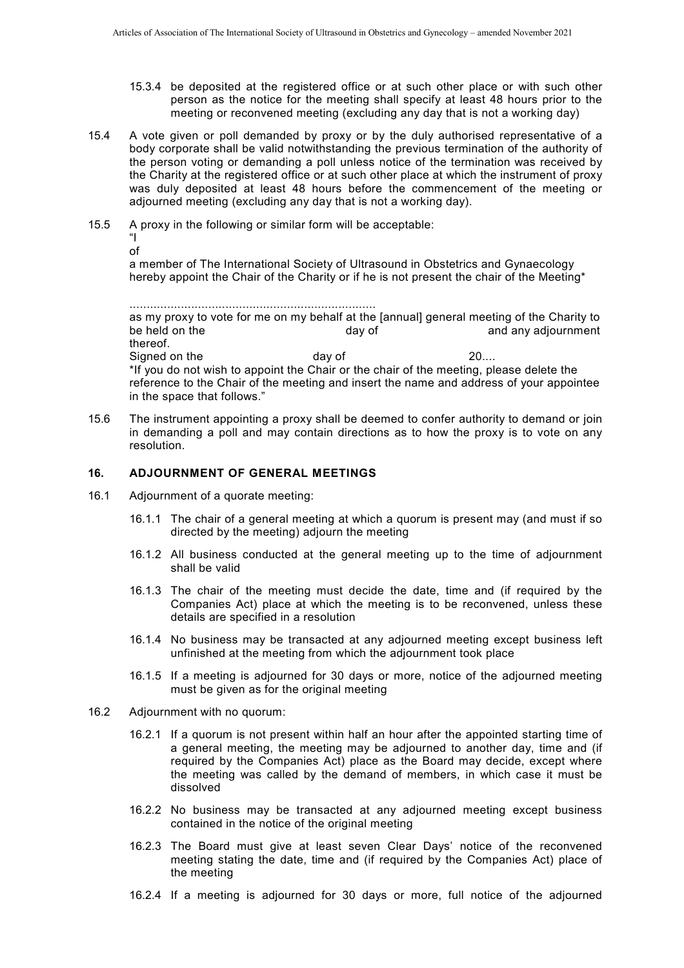- 15.3.4 be deposited at the registered office or at such other place or with such other person as the notice for the meeting shall specify at least 48 hours prior to the meeting or reconvened meeting (excluding any day that is not a working day)
- 15.4 A vote given or poll demanded by proxy or by the duly authorised representative of a body corporate shall be valid notwithstanding the previous termination of the authority of the person voting or demanding a poll unless notice of the termination was received by the Charity at the registered office or at such other place at which the instrument of proxy was duly deposited at least 48 hours before the commencement of the meeting or adjourned meeting (excluding any day that is not a working day).
- 15.5 A proxy in the following or similar form will be acceptable: "I of

a member of The International Society of Ultrasound in Obstetrics and Gynaecology hereby appoint the Chair of the Charity or if he is not present the chair of the Meeting<sup>\*</sup>

```
........................................................................ 
as my proxy to vote for me on my behalf at the [annual] general meeting of the Charity to<br>be held on the day of day of and any adiournment
                                           day of and any adjournment
thereof.
Signed on the day of the day of 20....
*If you do not wish to appoint the Chair or the chair of the meeting, please delete the 
reference to the Chair of the meeting and insert the name and address of your appointee 
in the space that follows."
```
15.6 The instrument appointing a proxy shall be deemed to confer authority to demand or join in demanding a poll and may contain directions as to how the proxy is to vote on any resolution.

## **16. ADJOURNMENT OF GENERAL MEETINGS**

- 16.1 Adjournment of a quorate meeting:
	- 16.1.1 The chair of a general meeting at which a quorum is present may (and must if so directed by the meeting) adjourn the meeting
	- 16.1.2 All business conducted at the general meeting up to the time of adjournment shall be valid
	- 16.1.3 The chair of the meeting must decide the date, time and (if required by the Companies Act) place at which the meeting is to be reconvened, unless these details are specified in a resolution
	- 16.1.4 No business may be transacted at any adjourned meeting except business left unfinished at the meeting from which the adjournment took place
	- 16.1.5 If a meeting is adjourned for 30 days or more, notice of the adjourned meeting must be given as for the original meeting
- 16.2 Adjournment with no quorum:
	- 16.2.1 If a quorum is not present within half an hour after the appointed starting time of a general meeting, the meeting may be adjourned to another day, time and (if required by the Companies Act) place as the Board may decide, except where the meeting was called by the demand of members, in which case it must be dissolved
	- 16.2.2 No business may be transacted at any adjourned meeting except business contained in the notice of the original meeting
	- 16.2.3 The Board must give at least seven Clear Days' notice of the reconvened meeting stating the date, time and (if required by the Companies Act) place of the meeting
	- 16.2.4 If a meeting is adjourned for 30 days or more, full notice of the adjourned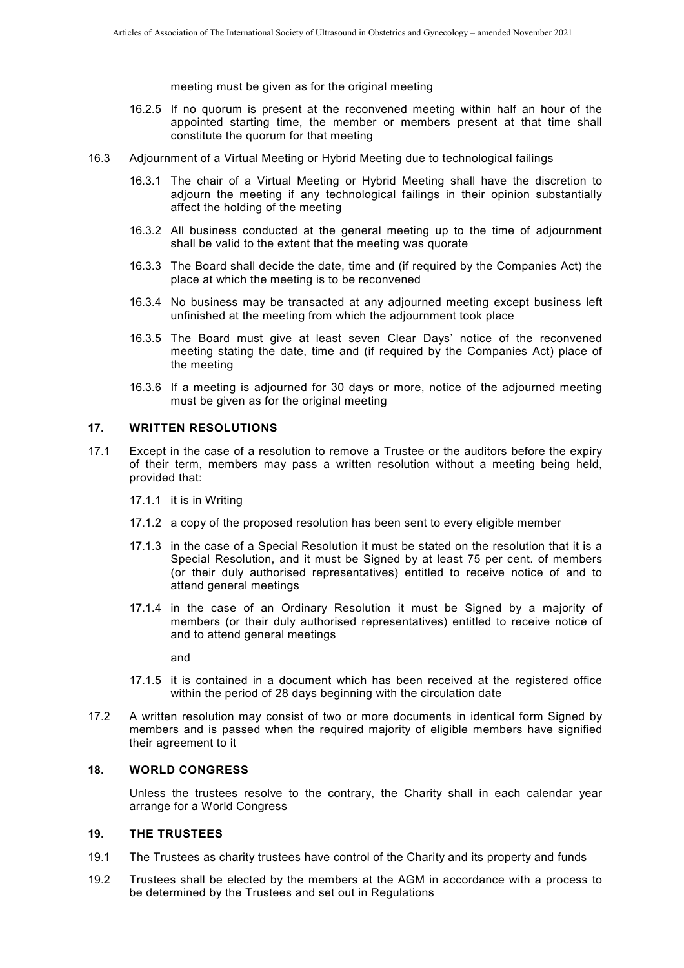meeting must be given as for the original meeting

- 16.2.5 If no quorum is present at the reconvened meeting within half an hour of the appointed starting time, the member or members present at that time shall constitute the quorum for that meeting
- 16.3 Adjournment of a Virtual Meeting or Hybrid Meeting due to technological failings
	- 16.3.1 The chair of a Virtual Meeting or Hybrid Meeting shall have the discretion to adjourn the meeting if any technological failings in their opinion substantially affect the holding of the meeting
	- 16.3.2 All business conducted at the general meeting up to the time of adjournment shall be valid to the extent that the meeting was quorate
	- 16.3.3 The Board shall decide the date, time and (if required by the Companies Act) the place at which the meeting is to be reconvened
	- 16.3.4 No business may be transacted at any adjourned meeting except business left unfinished at the meeting from which the adjournment took place
	- 16.3.5 The Board must give at least seven Clear Days' notice of the reconvened meeting stating the date, time and (if required by the Companies Act) place of the meeting
	- 16.3.6 If a meeting is adjourned for 30 days or more, notice of the adjourned meeting must be given as for the original meeting

### **17. WRITTEN RESOLUTIONS**

- 17.1 Except in the case of a resolution to remove a Trustee or the auditors before the expiry of their term, members may pass a written resolution without a meeting being held, provided that:
	- 17.1.1 it is in Writing
	- 17.1.2 a copy of the proposed resolution has been sent to every eligible member
	- 17.1.3 in the case of a Special Resolution it must be stated on the resolution that it is a Special Resolution, and it must be Signed by at least 75 per cent. of members (or their duly authorised representatives) entitled to receive notice of and to attend general meetings
	- 17.1.4 in the case of an Ordinary Resolution it must be Signed by a majority of members (or their duly authorised representatives) entitled to receive notice of and to attend general meetings

and

- 17.1.5 it is contained in a document which has been received at the registered office within the period of 28 days beginning with the circulation date
- 17.2 A written resolution may consist of two or more documents in identical form Signed by members and is passed when the required majority of eligible members have signified their agreement to it

#### **18. WORLD CONGRESS**

Unless the trustees resolve to the contrary, the Charity shall in each calendar year arrange for a World Congress

#### **19. THE TRUSTEES**

- 19.1 The Trustees as charity trustees have control of the Charity and its property and funds
- <span id="page-8-0"></span>19.2 Trustees shall be elected by the members at the AGM in accordance with a process to be determined by the Trustees and set out in Regulations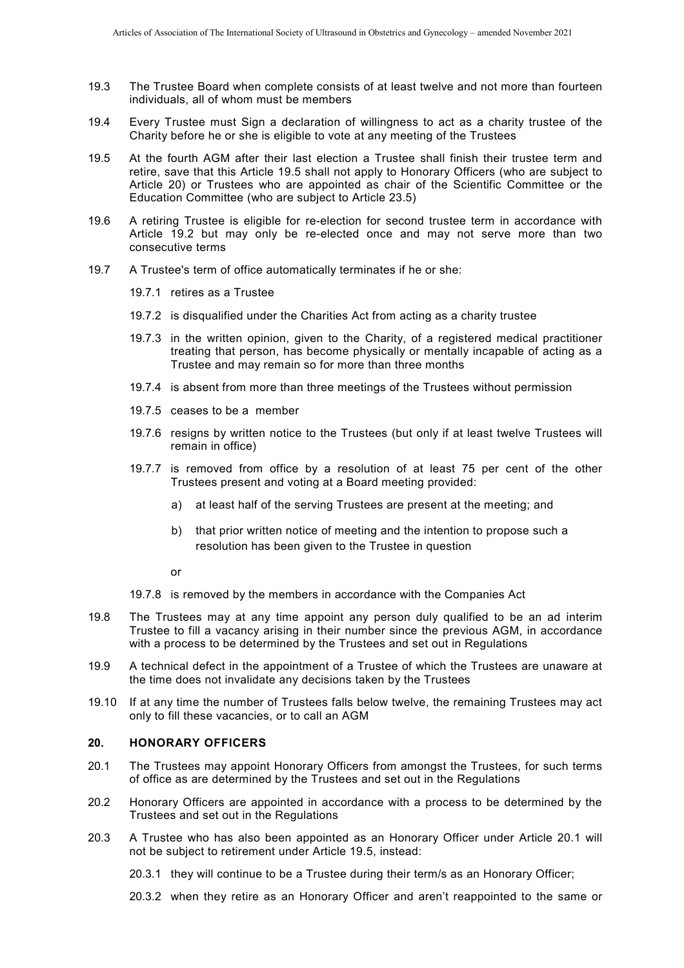- 19.3 The Trustee Board when complete consists of at least twelve and not more than fourteen individuals, all of whom must be members
- 19.4 Every Trustee must Sign a declaration of willingness to act as a charity trustee of the Charity before he or she is eligible to vote at any meeting of the Trustees
- <span id="page-9-0"></span>19.5 At the fourth AGM after their last election a Trustee shall finish their trustee term and retire, save that this Article [19.5](#page-9-0) shall not apply to Honorary Officers (who are subject to Article [20\)](#page-9-1) or Trustees who are appointed as chair of the Scientific Committee or the Education Committee (who are subject to Article [23.5\)](#page-11-0)
- 19.6 A retiring Trustee is eligible for re-election for second trustee term in accordance with Article [19.2](#page-8-0) but may only be re-elected once and may not serve more than two consecutive terms
- 19.7 A Trustee's term of office automatically terminates if he or she:
	- 19.7.1 retires as a Trustee
	- 19.7.2 is disqualified under the Charities Act from acting as a charity trustee
	- 19.7.3 in the written opinion, given to the Charity, of a registered medical practitioner treating that person, has become physically or mentally incapable of acting as a Trustee and may remain so for more than three months
	- 19.7.4 is absent from more than three meetings of the Trustees without permission
	- 19.7.5 ceases to be a member
	- 19.7.6 resigns by written notice to the Trustees (but only if at least twelve Trustees will remain in office)
	- 19.7.7 is removed from office by a resolution of at least 75 per cent of the other Trustees present and voting at a Board meeting provided:
		- a) at least half of the serving Trustees are present at the meeting; and
		- b) that prior written notice of meeting and the intention to propose such a resolution has been given to the Trustee in question

or

- 19.7.8 is removed by the members in accordance with the Companies Act
- 19.8 The Trustees may at any time appoint any person duly qualified to be an ad interim Trustee to fill a vacancy arising in their number since the previous AGM, in accordance with a process to be determined by the Trustees and set out in Regulations
- 19.9 A technical defect in the appointment of a Trustee of which the Trustees are unaware at the time does not invalidate any decisions taken by the Trustees
- 19.10 If at any time the number of Trustees falls below twelve, the remaining Trustees may act only to fill these vacancies, or to call an AGM

## <span id="page-9-1"></span>**20. HONORARY OFFICERS**

- <span id="page-9-2"></span>20.1 The Trustees may appoint Honorary Officers from amongst the Trustees, for such terms of office as are determined by the Trustees and set out in the Regulations
- 20.2 Honorary Officers are appointed in accordance with a process to be determined by the Trustees and set out in the Regulations
- 20.3 A Trustee who has also been appointed as an Honorary Officer under Article [20.1](#page-9-2) will not be subject to retirement under Article [19.5,](#page-9-0) instead:
	- 20.3.1 they will continue to be a Trustee during their term/s as an Honorary Officer;
	- 20.3.2 when they retire as an Honorary Officer and aren't reappointed to the same or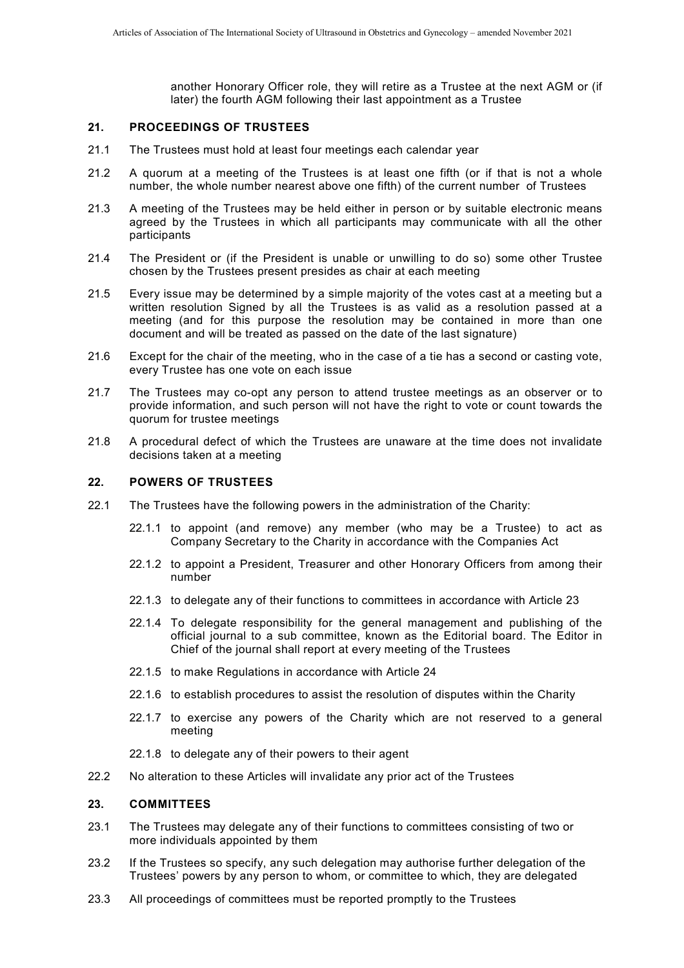another Honorary Officer role, they will retire as a Trustee at the next AGM or (if later) the fourth AGM following their last appointment as a Trustee

#### **21. PROCEEDINGS OF TRUSTEES**

- 21.1 The Trustees must hold at least four meetings each calendar year
- 21.2 A quorum at a meeting of the Trustees is at least one fifth (or if that is not a whole number, the whole number nearest above one fifth) of the current number of Trustees
- 21.3 A meeting of the Trustees may be held either in person or by suitable electronic means agreed by the Trustees in which all participants may communicate with all the other participants
- 21.4 The President or (if the President is unable or unwilling to do so) some other Trustee chosen by the Trustees present presides as chair at each meeting
- 21.5 Every issue may be determined by a simple majority of the votes cast at a meeting but a written resolution Signed by all the Trustees is as valid as a resolution passed at a meeting (and for this purpose the resolution may be contained in more than one document and will be treated as passed on the date of the last signature)
- 21.6 Except for the chair of the meeting, who in the case of a tie has a second or casting vote, every Trustee has one vote on each issue
- 21.7 The Trustees may co-opt any person to attend trustee meetings as an observer or to provide information, and such person will not have the right to vote or count towards the quorum for trustee meetings
- 21.8 A procedural defect of which the Trustees are unaware at the time does not invalidate decisions taken at a meeting

#### **22. POWERS OF TRUSTEES**

- 22.1 The Trustees have the following powers in the administration of the Charity:
	- 22.1.1 to appoint (and remove) any member (who may be a Trustee) to act as Company Secretary to the Charity in accordance with the Companies Act
	- 22.1.2 to appoint a President, Treasurer and other Honorary Officers from among their number
	- 22.1.3 to delegate any of their functions to committees in accordance with Article [23](#page-10-0)
	- 22.1.4 To delegate responsibility for the general management and publishing of the official journal to a sub committee, known as the Editorial board. The Editor in Chief of the journal shall report at every meeting of the Trustees
	- 22.1.5 to make Regulations in accordance with Article [24](#page-11-1)
	- 22.1.6 to establish procedures to assist the resolution of disputes within the Charity
	- 22.1.7 to exercise any powers of the Charity which are not reserved to a general meeting
	- 22.1.8 to delegate any of their powers to their agent
- 22.2 No alteration to these Articles will invalidate any prior act of the Trustees

#### <span id="page-10-0"></span>**23. COMMITTEES**

- 23.1 The Trustees may delegate any of their functions to committees consisting of two or more individuals appointed by them
- 23.2 If the Trustees so specify, any such delegation may authorise further delegation of the Trustees' powers by any person to whom, or committee to which, they are delegated
- 23.3 All proceedings of committees must be reported promptly to the Trustees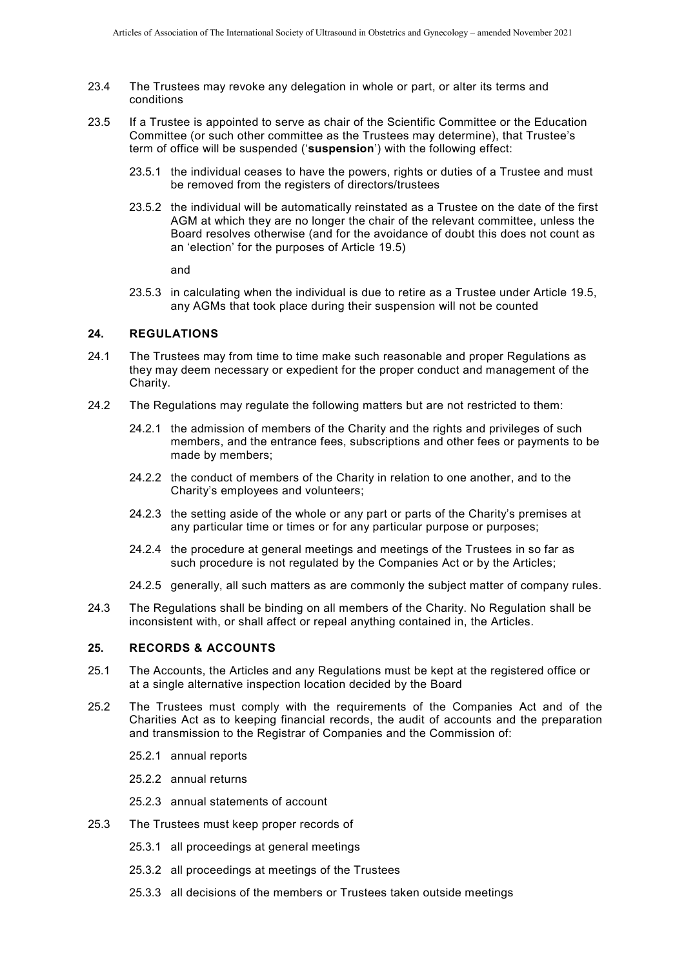- 23.4 The Trustees may revoke any delegation in whole or part, or alter its terms and conditions
- <span id="page-11-0"></span>23.5 If a Trustee is appointed to serve as chair of the Scientific Committee or the Education Committee (or such other committee as the Trustees may determine), that Trustee's term of office will be suspended ('**suspension**') with the following effect:
	- 23.5.1 the individual ceases to have the powers, rights or duties of a Trustee and must be removed from the registers of directors/trustees
	- 23.5.2 the individual will be automatically reinstated as a Trustee on the date of the first AGM at which they are no longer the chair of the relevant committee, unless the Board resolves otherwise (and for the avoidance of doubt this does not count as an 'election' for the purposes of Article [19.5\)](#page-9-0)

and

23.5.3 in calculating when the individual is due to retire as a Trustee under Article [19.5,](#page-9-0) any AGMs that took place during their suspension will not be counted

#### <span id="page-11-1"></span>**24. REGULATIONS**

- 24.1 The Trustees may from time to time make such reasonable and proper Regulations as they may deem necessary or expedient for the proper conduct and management of the Charity.
- 24.2 The Regulations may regulate the following matters but are not restricted to them:
	- 24.2.1 the admission of members of the Charity and the rights and privileges of such members, and the entrance fees, subscriptions and other fees or payments to be made by members;
	- 24.2.2 the conduct of members of the Charity in relation to one another, and to the Charity's employees and volunteers;
	- 24.2.3 the setting aside of the whole or any part or parts of the Charity's premises at any particular time or times or for any particular purpose or purposes;
	- 24.2.4 the procedure at general meetings and meetings of the Trustees in so far as such procedure is not regulated by the Companies Act or by the Articles;
	- 24.2.5 generally, all such matters as are commonly the subject matter of company rules.
- 24.3 The Regulations shall be binding on all members of the Charity. No Regulation shall be inconsistent with, or shall affect or repeal anything contained in, the Articles.

### **25. RECORDS & ACCOUNTS**

- 25.1 The Accounts, the Articles and any Regulations must be kept at the registered office or at a single alternative inspection location decided by the Board
- 25.2 The Trustees must comply with the requirements of the Companies Act and of the Charities Act as to keeping financial records, the audit of accounts and the preparation and transmission to the Registrar of Companies and the Commission of:
	- 25.2.1 annual reports
	- 25.2.2 annual returns
	- 25.2.3 annual statements of account
- 25.3 The Trustees must keep proper records of
	- 25.3.1 all proceedings at general meetings
	- 25.3.2 all proceedings at meetings of the Trustees
	- 25.3.3 all decisions of the members or Trustees taken outside meetings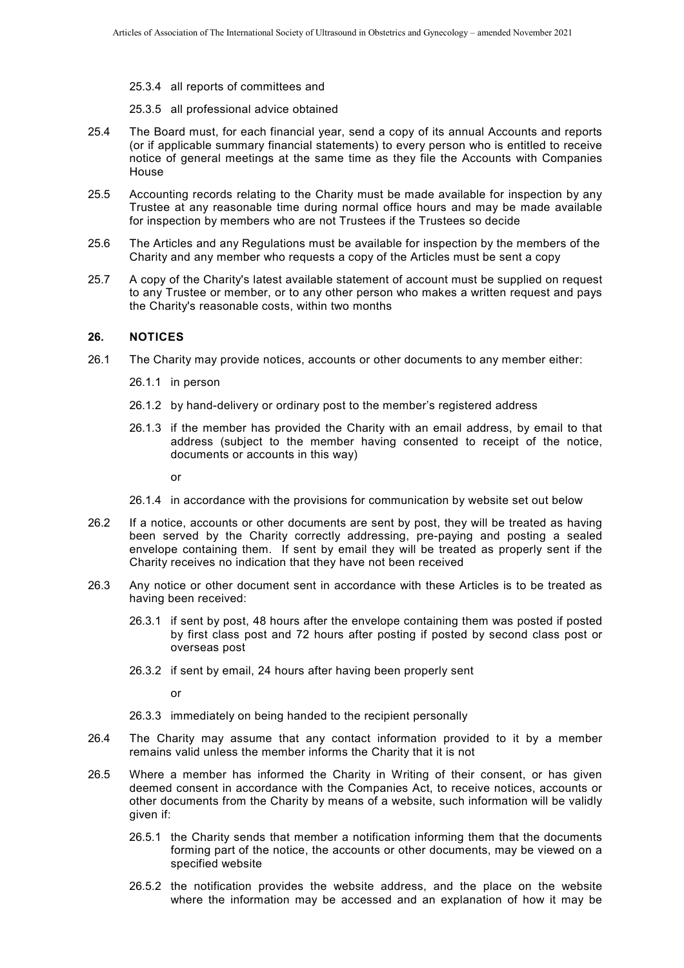- 25.3.4 all reports of committees and
- 25.3.5 all professional advice obtained
- 25.4 The Board must, for each financial year, send a copy of its annual Accounts and reports (or if applicable summary financial statements) to every person who is entitled to receive notice of general meetings at the same time as they file the Accounts with Companies House
- 25.5 Accounting records relating to the Charity must be made available for inspection by any Trustee at any reasonable time during normal office hours and may be made available for inspection by members who are not Trustees if the Trustees so decide
- 25.6 The Articles and any Regulations must be available for inspection by the members of the Charity and any member who requests a copy of the Articles must be sent a copy
- 25.7 A copy of the Charity's latest available statement of account must be supplied on request to any Trustee or member, or to any other person who makes a written request and pays the Charity's reasonable costs, within two months

#### **26. NOTICES**

- 26.1 The Charity may provide notices, accounts or other documents to any member either:
	- 26.1.1 in person
	- 26.1.2 by hand-delivery or ordinary post to the member's registered address
	- 26.1.3 if the member has provided the Charity with an email address, by email to that address (subject to the member having consented to receipt of the notice, documents or accounts in this way)

or

- 26.1.4 in accordance with the provisions for communication by website set out below
- 26.2 If a notice, accounts or other documents are sent by post, they will be treated as having been served by the Charity correctly addressing, pre-paying and posting a sealed envelope containing them. If sent by email they will be treated as properly sent if the Charity receives no indication that they have not been received
- 26.3 Any notice or other document sent in accordance with these Articles is to be treated as having been received:
	- 26.3.1 if sent by post, 48 hours after the envelope containing them was posted if posted by first class post and 72 hours after posting if posted by second class post or overseas post
	- 26.3.2 if sent by email, 24 hours after having been properly sent

or

- 26.3.3 immediately on being handed to the recipient personally
- 26.4 The Charity may assume that any contact information provided to it by a member remains valid unless the member informs the Charity that it is not
- <span id="page-12-0"></span>26.5 Where a member has informed the Charity in Writing of their consent, or has given deemed consent in accordance with the Companies Act, to receive notices, accounts or other documents from the Charity by means of a website, such information will be validly given if:
	- 26.5.1 the Charity sends that member a notification informing them that the documents forming part of the notice, the accounts or other documents, may be viewed on a specified website
	- 26.5.2 the notification provides the website address, and the place on the website where the information may be accessed and an explanation of how it may be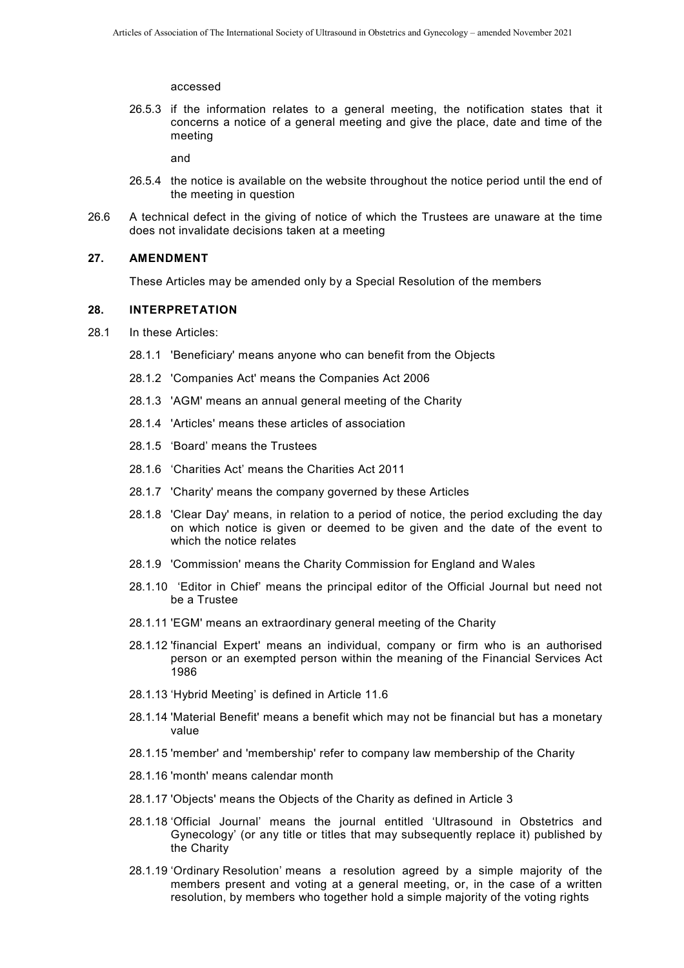accessed

26.5.3 if the information relates to a general meeting, the notification states that it concerns a notice of a general meeting and give the place, date and time of the meeting

and

- 26.5.4 the notice is available on the website throughout the notice period until the end of the meeting in question
- 26.6 A technical defect in the giving of notice of which the Trustees are unaware at the time does not invalidate decisions taken at a meeting

## <span id="page-13-0"></span>**27. AMENDMENT**

These Articles may be amended only by a Special Resolution of the members

#### **28. INTERPRETATION**

- 28.1 In these Articles:
	- 28.1.1 'Beneficiary' means anyone who can benefit from the Objects
	- 28.1.2 'Companies Act' means the Companies Act 2006
	- 28.1.3 'AGM' means an annual general meeting of the Charity
	- 28.1.4 'Articles' means these articles of association
	- 28.1.5 'Board' means the Trustees
	- 28.1.6 'Charities Act' means the Charities Act 2011
	- 28.1.7 'Charity' means the company governed by these Articles
	- 28.1.8 'Clear Day' means, in relation to a period of notice, the period excluding the day on which notice is given or deemed to be given and the date of the event to which the notice relates
	- 28.1.9 'Commission' means the Charity Commission for England and Wales
	- 28.1.10 'Editor in Chief' means the principal editor of the Official Journal but need not be a Trustee
	- 28.1.11 'EGM' means an extraordinary general meeting of the Charity
	- 28.1.12 'financial Expert' means an individual, company or firm who is an authorised person or an exempted person within the meaning of the Financial Services Act 1986
	- 28.1.13 'Hybrid Meeting' is defined in Article [11.6](#page-4-1)
	- 28.1.14 'Material Benefit' means a benefit which may not be financial but has a monetary value
	- 28.1.15 'member' and 'membership' refer to company law membership of the Charity
	- 28.1.16 'month' means calendar month
	- 28.1.17 'Objects' means the Objects of the Charity as defined in Article [3](#page-0-0)
	- 28.1.18 'Official Journal' means the journal entitled 'Ultrasound in Obstetrics and Gynecology' (or any title or titles that may subsequently replace it) published by the Charity
	- 28.1.19 'Ordinary Resolution' means a resolution agreed by a simple majority of the members present and voting at a general meeting, or, in the case of a written resolution, by members who together hold a simple majority of the voting rights